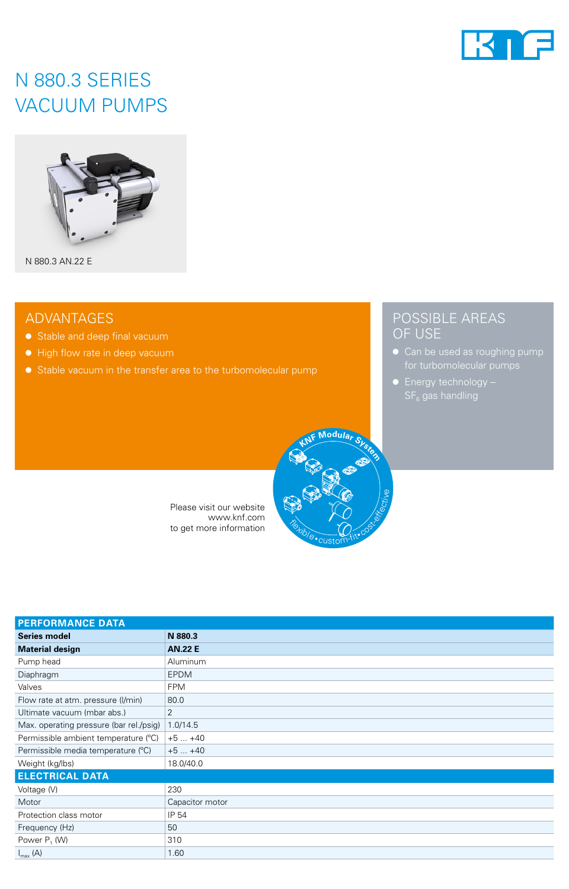

## N 880.3 SERIES VACUUM PUMPS



N 880.3 AN.22 E

### ADVANTAGES

- Stable and deep final vacuum
- High flow rate in deep vacuum
- Stable vacuum in the transfer area to the turbomolecular pump

## POSSIBLE AREAS OF USE

- Can be used as roughing pump
- Energy technology –

Please visit our website www.knf.com to get more information

| <b>PERFORMANCE DATA</b>                 |                 |
|-----------------------------------------|-----------------|
| <b>Series model</b>                     | N 880.3         |
| <b>Material design</b>                  | <b>AN.22 E</b>  |
| Pump head                               | Aluminum        |
| Diaphragm                               | <b>EPDM</b>     |
| Valves                                  | <b>FPM</b>      |
| Flow rate at atm. pressure (I/min)      | 80.0            |
| Ultimate vacuum (mbar abs.)             | 2               |
| Max. operating pressure (bar rel./psig) | 1.0/14.5        |
| Permissible ambient temperature (°C)    | $+5+40$         |
| Permissible media temperature (°C)      | $+5+40$         |
| Weight (kg/lbs)                         | 18.0/40.0       |
| <b>ELECTRICAL DATA</b>                  |                 |
| Voltage (V)                             | 230             |
| Motor                                   | Capacitor motor |
| Protection class motor                  | IP 54           |
| Frequency (Hz)                          | 50              |
| Power $P_1$ (W)                         | 310             |
| $I_{\text{max}}(A)$                     | 1.60            |

**Flexible** 

custom-fit• cost-

**<sup>K</sup>N<sup>F</sup> <sup>M</sup>odula<sup>r</sup> <sup>S</sup>yste<sup>m</sup>**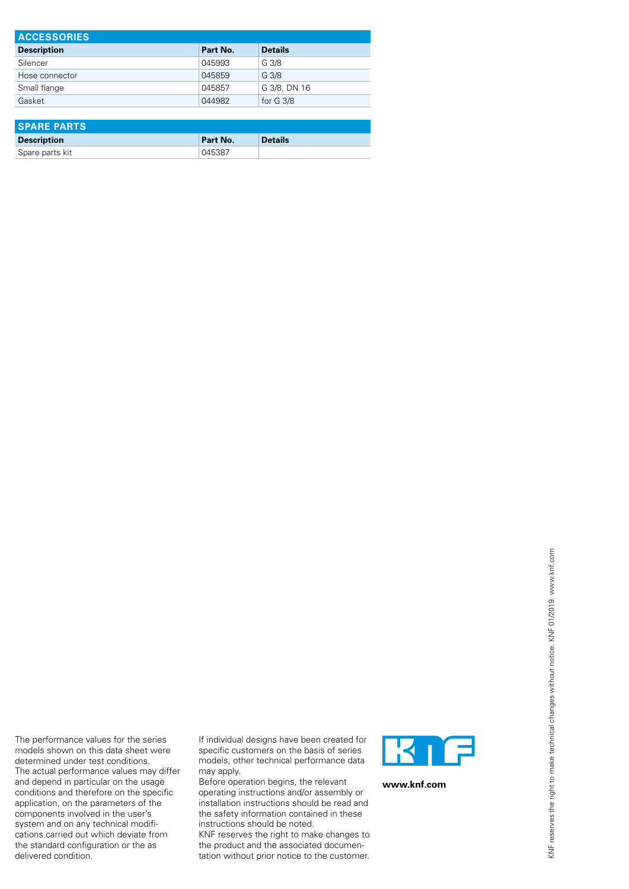| <b>ACCESSORIES</b> |          |                     |  |  |  |
|--------------------|----------|---------------------|--|--|--|
| <b>Description</b> | Part No. | <b>Details</b>      |  |  |  |
| Silencer           | 045993   | G 3/8               |  |  |  |
| Hose connector     | 045859   | G 3/8               |  |  |  |
| Small flange       | 045857   | G 3/8, DN 16        |  |  |  |
| Gasket             | 044982   | for $G \frac{3}{8}$ |  |  |  |

| <b>SPARE PARTS</b> |          |                |  |  |
|--------------------|----------|----------------|--|--|
| <b>Description</b> | Part No. | <b>Details</b> |  |  |
| Spare parts kit    | 045387   |                |  |  |

If individual designs have been created for specific customers on the basis of series models, other technical performance data may apply.

The performance values for the series models shown on this data sheet were determined under test conditions. The actual performance values may differ and depend in particular on the usage conditions and therefore on the specific application, on the parameters of the components involved in the user's system and on any technical modifications carried out which deviate from the standard configuration or the as

delivered condition.

Before operation begins, the relevant operating instructions and/or assembly or installation instructions should be read and the safety information contained in these instructions should be noted.

KNF reserves the right to make changes to the product and the associated documentation without prior notice to the customer.



**www.knf.com**